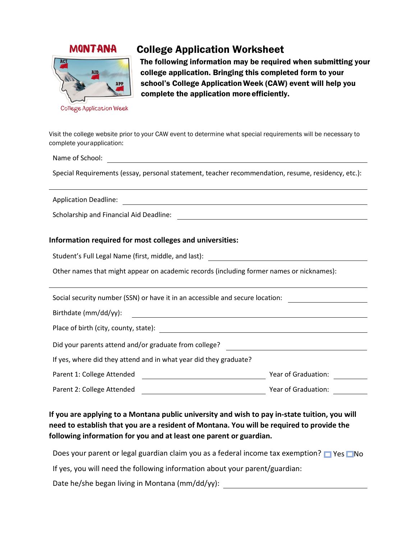## **MONTANA**



# College Application Worksheet

The following information may be required when submitting your college application. Bringing this completed form to your school's College Application Week (CAW) event will help you complete the application moreefficiently.

Visit the college website prior to your CAW event to determine what special requirements will be necessary to complete yourapplication:

Name of School:

Special Requirements (essay, personal statement, teacher recommendation, resume, residency, etc.):

Application Deadline:

Scholarship and Financial Aid Deadline:

#### **Information required for most colleges and universities:**

Student's Full Legal Name (first, middle, and last):

Other names that might appear on academic records (including former names or nicknames):

Social security number (SSN) or have it in an accessible and secure location: Birthdate (mm/dd/yy): 2009 2012 2022 2023 2024 2022 2023 2024 2022 2023 2024 2022 2023 2024 2022 2023 2024 202

Place of birth (city, county, state):

Did your parents attend and/or graduate from college?

If yes, where did they attend and in what year did they graduate?

| Parent 1: College Attended | Year of Graduation: |  |
|----------------------------|---------------------|--|
| Parent 2: College Attended | Year of Graduation: |  |

### **If you are applying to a Montana public university and wish to pay in-state tuition, you will need to establish that you are a resident of Montana. You will be required to provide the following information for you and at least one parent or guardian.**

Does your parent or legal guardian claim you as a federal income tax exemption?  $\Box$  Yes  $\Box$  No

If yes, you will need the following information about your parent/guardian:

Date he/she began living in Montana (mm/dd/yy): \_\_\_\_\_\_\_\_\_\_\_\_\_\_\_\_\_\_\_\_\_\_\_\_\_\_\_\_\_\_\_\_